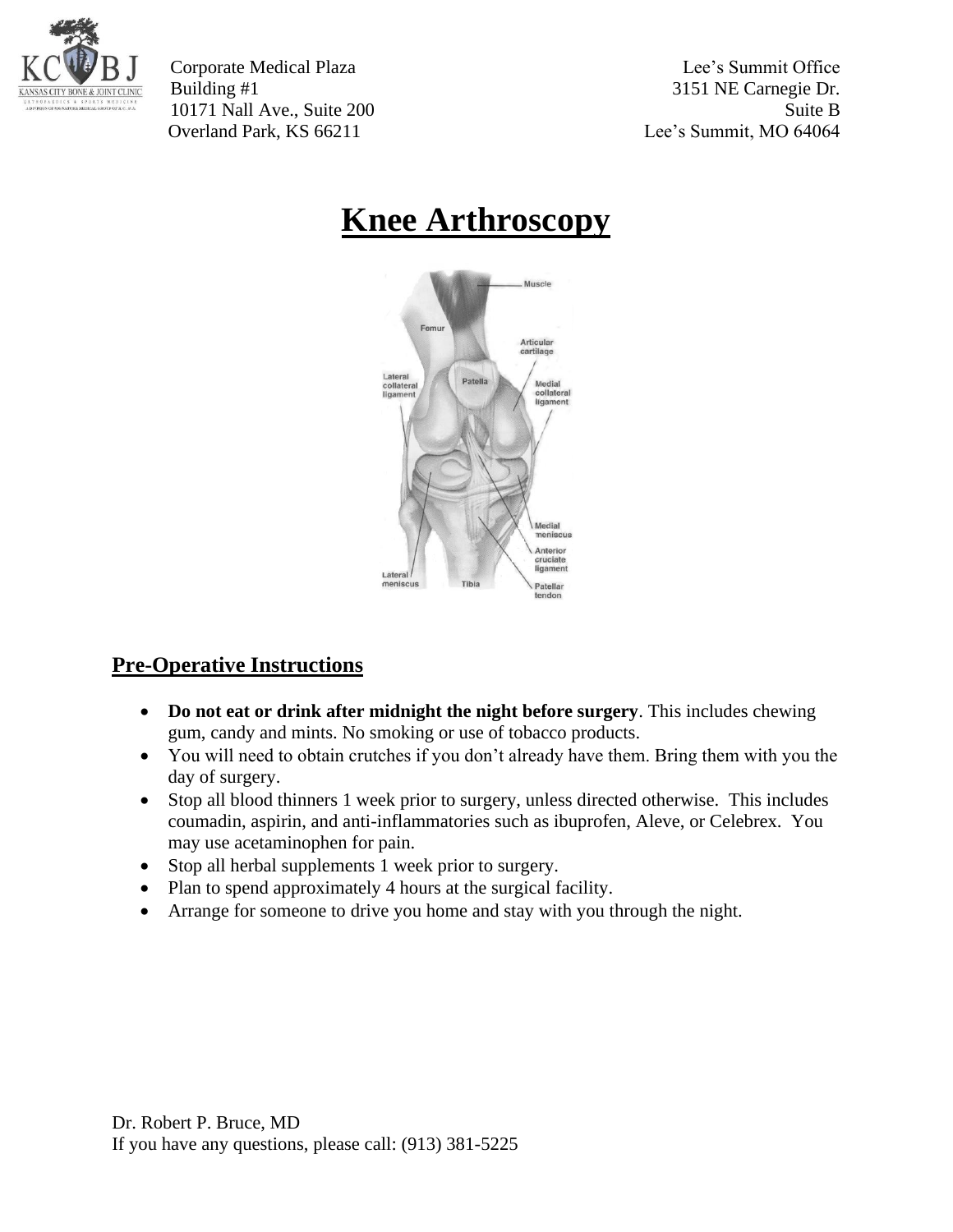

Corporate Medical Plaza Lee's Summit Office Building #1 3151 NE Carnegie Dr. 10171 Nall Ave., Suite 200 Suite B Overland Park, KS 66211 Lee's Summit, MO 64064

# **Knee Arthroscopy**



## **Pre-Operative Instructions**

- **Do not eat or drink after midnight the night before surgery**. This includes chewing gum, candy and mints. No smoking or use of tobacco products.
- You will need to obtain crutches if you don't already have them. Bring them with you the day of surgery.
- Stop all blood thinners 1 week prior to surgery, unless directed otherwise. This includes coumadin, aspirin, and anti-inflammatories such as ibuprofen, Aleve, or Celebrex. You may use acetaminophen for pain.
- Stop all herbal supplements 1 week prior to surgery.
- Plan to spend approximately 4 hours at the surgical facility.
- Arrange for someone to drive you home and stay with you through the night.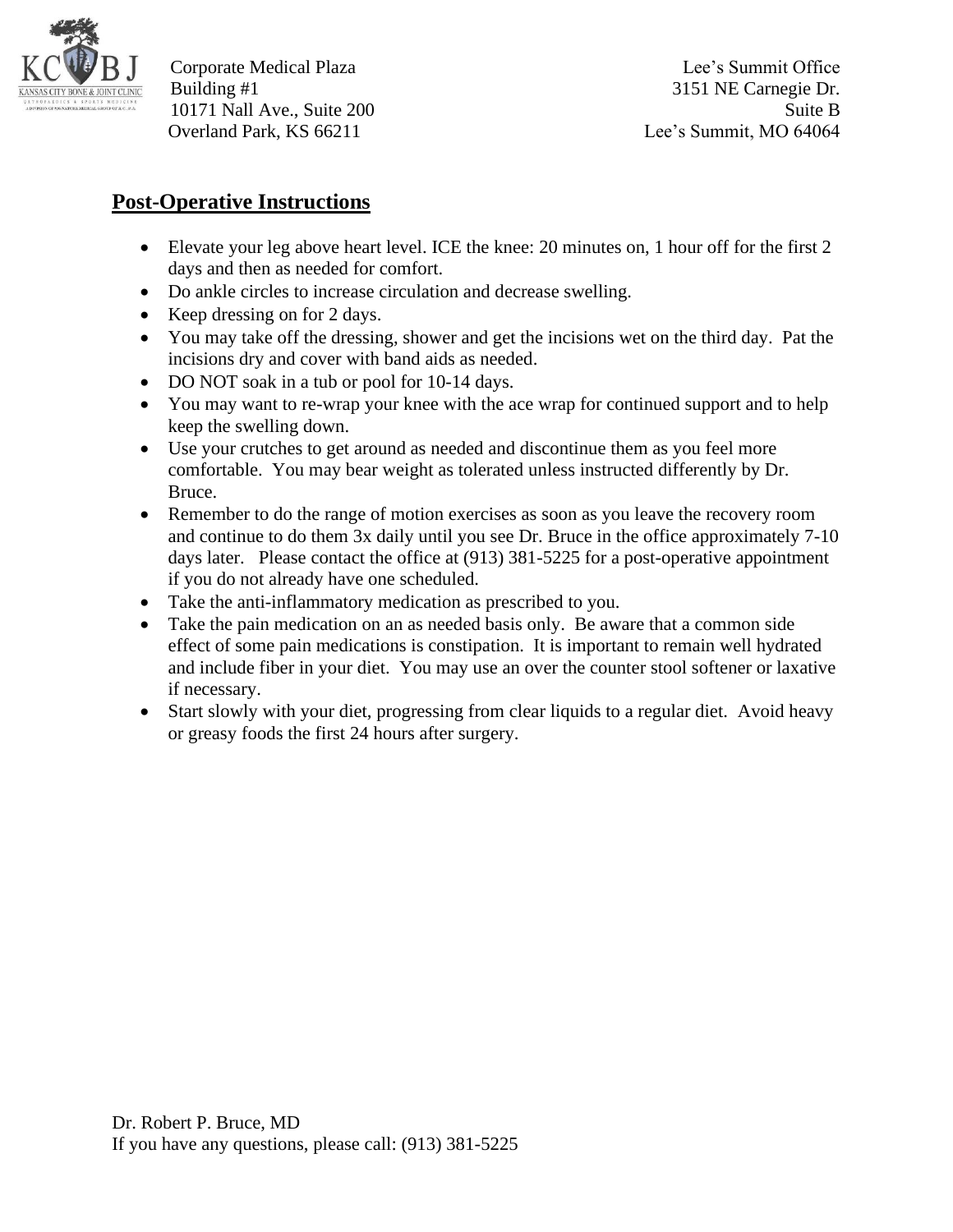

Corporate Medical Plaza Lee's Summit Office Building #1 3151 NE Carnegie Dr. 10171 Nall Ave., Suite 200 Suite B Overland Park, KS 66211 Lee's Summit, MO 64064

### **Post-Operative Instructions**

- Elevate your leg above heart level. ICE the knee: 20 minutes on, 1 hour off for the first 2 days and then as needed for comfort.
- Do ankle circles to increase circulation and decrease swelling.
- Keep dressing on for 2 days.
- You may take off the dressing, shower and get the incisions wet on the third day. Pat the incisions dry and cover with band aids as needed.
- DO NOT soak in a tub or pool for 10-14 days.
- You may want to re-wrap your knee with the ace wrap for continued support and to help keep the swelling down.
- Use your crutches to get around as needed and discontinue them as you feel more comfortable. You may bear weight as tolerated unless instructed differently by Dr. Bruce.
- Remember to do the range of motion exercises as soon as you leave the recovery room and continue to do them 3x daily until you see Dr. Bruce in the office approximately 7-10 days later. Please contact the office at (913) 381-5225 for a post-operative appointment if you do not already have one scheduled.
- Take the anti-inflammatory medication as prescribed to you.
- Take the pain medication on an as needed basis only. Be aware that a common side effect of some pain medications is constipation. It is important to remain well hydrated and include fiber in your diet. You may use an over the counter stool softener or laxative if necessary.
- Start slowly with your diet, progressing from clear liquids to a regular diet. Avoid heavy or greasy foods the first 24 hours after surgery.